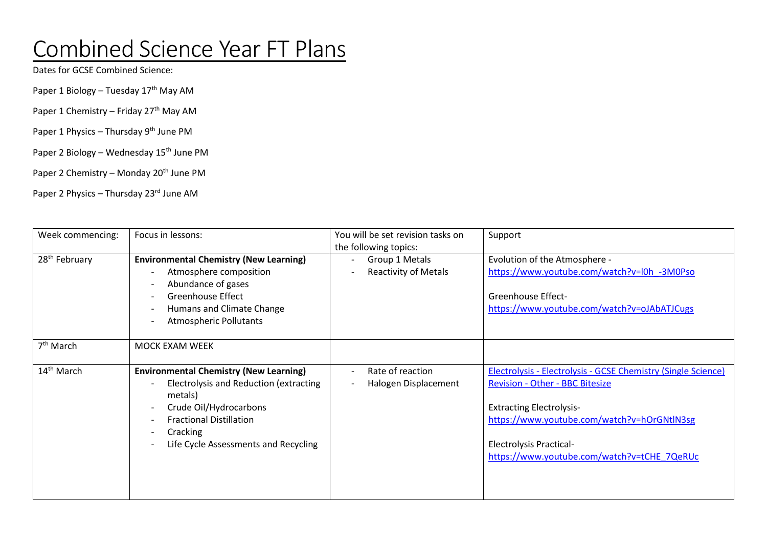## Combined Science Year FT Plans

Dates for GCSE Combined Science:

Paper 1 Biology – Tuesday 17<sup>th</sup> May AM

- Paper 1 Chemistry Friday 27<sup>th</sup> May AM
- Paper 1 Physics Thursday 9<sup>th</sup> June PM
- Paper 2 Biology Wednesday 15<sup>th</sup> June PM
- Paper 2 Chemistry Monday 20<sup>th</sup> June PM

Paper 2 Physics – Thursday 23rd June AM

| Week commencing:          | Focus in lessons:                                                                                                                                                                                                  | You will be set revision tasks on<br>the following topics: | Support                                                                                                                                                                                                                                                                           |
|---------------------------|--------------------------------------------------------------------------------------------------------------------------------------------------------------------------------------------------------------------|------------------------------------------------------------|-----------------------------------------------------------------------------------------------------------------------------------------------------------------------------------------------------------------------------------------------------------------------------------|
| 28 <sup>th</sup> February | <b>Environmental Chemistry (New Learning)</b><br>Atmosphere composition<br>Abundance of gases<br><b>Greenhouse Effect</b><br>Humans and Climate Change<br><b>Atmospheric Pollutants</b>                            | Group 1 Metals<br><b>Reactivity of Metals</b>              | Evolution of the Atmosphere -<br>https://www.youtube.com/watch?v=l0h -3M0Pso<br><b>Greenhouse Effect-</b><br>https://www.youtube.com/watch?v=oJAbATJCugs                                                                                                                          |
| 7 <sup>th</sup> March     | MOCK EXAM WEEK                                                                                                                                                                                                     |                                                            |                                                                                                                                                                                                                                                                                   |
| 14 <sup>th</sup> March    | <b>Environmental Chemistry (New Learning)</b><br>Electrolysis and Reduction (extracting<br>metals)<br>Crude Oil/Hydrocarbons<br><b>Fractional Distillation</b><br>Cracking<br>Life Cycle Assessments and Recycling | Rate of reaction<br>Halogen Displacement                   | <b>Electrolysis - Electrolysis - GCSE Chemistry (Single Science)</b><br><b>Revision - Other - BBC Bitesize</b><br><b>Extracting Electrolysis-</b><br>https://www.youtube.com/watch?v=hOrGNtlN3sg<br><b>Electrolysis Practical-</b><br>https://www.youtube.com/watch?v=tCHE 7QeRUc |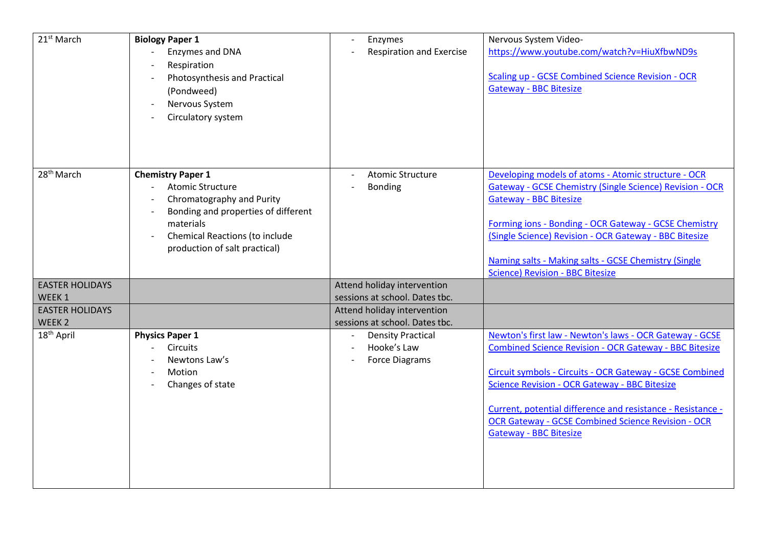| 21 <sup>st</sup> March                      | <b>Biology Paper 1</b><br>Enzymes and DNA<br>Respiration<br>Photosynthesis and Practical<br>(Pondweed)<br>Nervous System<br>Circulatory system                                                                 | Enzymes<br>$\overline{\phantom{a}}$<br><b>Respiration and Exercise</b>             | Nervous System Video-<br>https://www.youtube.com/watch?v=HiuXfbwND9s<br><b>Scaling up - GCSE Combined Science Revision - OCR</b><br><b>Gateway - BBC Bitesize</b>                                                                                                                                                                                                                                         |
|---------------------------------------------|----------------------------------------------------------------------------------------------------------------------------------------------------------------------------------------------------------------|------------------------------------------------------------------------------------|-----------------------------------------------------------------------------------------------------------------------------------------------------------------------------------------------------------------------------------------------------------------------------------------------------------------------------------------------------------------------------------------------------------|
| 28 <sup>th</sup> March                      | <b>Chemistry Paper 1</b><br><b>Atomic Structure</b><br>Chromatography and Purity<br>Bonding and properties of different<br>materials<br><b>Chemical Reactions (to include</b><br>production of salt practical) | <b>Atomic Structure</b><br><b>Bonding</b>                                          | Developing models of atoms - Atomic structure - OCR<br>Gateway - GCSE Chemistry (Single Science) Revision - OCR<br><b>Gateway - BBC Bitesize</b><br>Forming ions - Bonding - OCR Gateway - GCSE Chemistry<br>(Single Science) Revision - OCR Gateway - BBC Bitesize<br>Naming salts - Making salts - GCSE Chemistry (Single<br><b>Science) Revision - BBC Bitesize</b>                                    |
| <b>EASTER HOLIDAYS</b><br>WEEK 1            |                                                                                                                                                                                                                | Attend holiday intervention<br>sessions at school. Dates tbc.                      |                                                                                                                                                                                                                                                                                                                                                                                                           |
| <b>EASTER HOLIDAYS</b><br>WEEK <sub>2</sub> |                                                                                                                                                                                                                | Attend holiday intervention<br>sessions at school. Dates tbc.                      |                                                                                                                                                                                                                                                                                                                                                                                                           |
| 18 <sup>th</sup> April                      | <b>Physics Paper 1</b><br><b>Circuits</b><br>Newtons Law's<br>Motion<br>$\overline{\phantom{a}}$<br>Changes of state                                                                                           | <b>Density Practical</b><br>$\blacksquare$<br>Hooke's Law<br><b>Force Diagrams</b> | Newton's first law - Newton's laws - OCR Gateway - GCSE<br><b>Combined Science Revision - OCR Gateway - BBC Bitesize</b><br>Circuit symbols - Circuits - OCR Gateway - GCSE Combined<br><b>Science Revision - OCR Gateway - BBC Bitesize</b><br>Current, potential difference and resistance - Resistance -<br><b>OCR Gateway - GCSE Combined Science Revision - OCR</b><br><b>Gateway - BBC Bitesize</b> |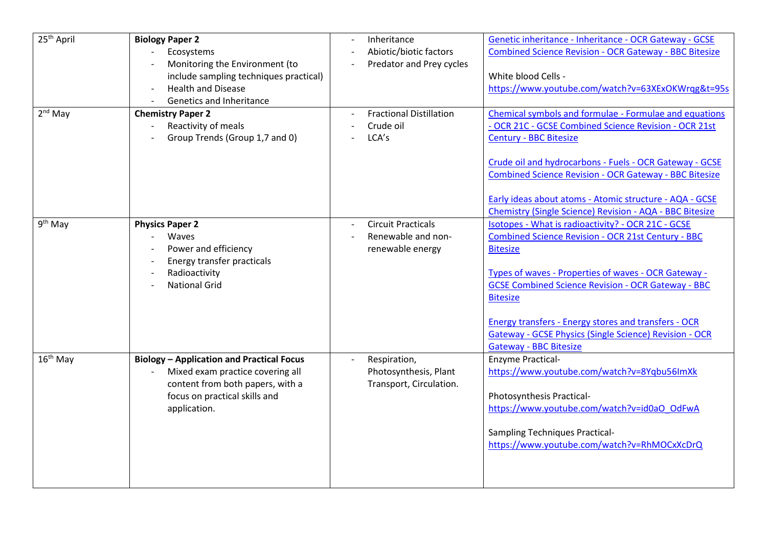| 25 <sup>th</sup> April<br>$2nd$ May | <b>Biology Paper 2</b><br>Ecosystems<br>Monitoring the Environment (to<br>include sampling techniques practical)<br><b>Health and Disease</b><br>Genetics and Inheritance<br><b>Chemistry Paper 2</b><br>Reactivity of meals<br>Group Trends (Group 1,7 and 0) | Inheritance<br>Abiotic/biotic factors<br>Predator and Prey cycles<br><b>Fractional Distillation</b><br>Crude oil<br>LCA's | Genetic inheritance - Inheritance - OCR Gateway - GCSE<br><b>Combined Science Revision - OCR Gateway - BBC Bitesize</b><br>White blood Cells -<br>https://www.youtube.com/watch?v=63XExOKWrqg&t=95s<br>Chemical symbols and formulae - Formulae and equations<br>- OCR 21C - GCSE Combined Science Revision - OCR 21st<br><b>Century - BBC Bitesize</b>                                                                       |
|-------------------------------------|----------------------------------------------------------------------------------------------------------------------------------------------------------------------------------------------------------------------------------------------------------------|---------------------------------------------------------------------------------------------------------------------------|-------------------------------------------------------------------------------------------------------------------------------------------------------------------------------------------------------------------------------------------------------------------------------------------------------------------------------------------------------------------------------------------------------------------------------|
|                                     |                                                                                                                                                                                                                                                                |                                                                                                                           | Crude oil and hydrocarbons - Fuels - OCR Gateway - GCSE<br><b>Combined Science Revision - OCR Gateway - BBC Bitesize</b><br>Early ideas about atoms - Atomic structure - AQA - GCSE<br>Chemistry (Single Science) Revision - AQA - BBC Bitesize                                                                                                                                                                               |
| 9 <sup>th</sup> May                 | <b>Physics Paper 2</b><br>Waves<br>Power and efficiency<br>Energy transfer practicals<br>Radioactivity<br><b>National Grid</b>                                                                                                                                 | <b>Circuit Practicals</b><br>Renewable and non-<br>renewable energy                                                       | Isotopes - What is radioactivity? - OCR 21C - GCSE<br>Combined Science Revision - OCR 21st Century - BBC<br><b>Bitesize</b><br>Types of waves - Properties of waves - OCR Gateway -<br><b>GCSE Combined Science Revision - OCR Gateway - BBC</b><br><b>Bitesize</b><br>Energy transfers - Energy stores and transfers - OCR<br><b>Gateway - GCSE Physics (Single Science) Revision - OCR</b><br><b>Gateway - BBC Bitesize</b> |
| $16th$ May                          | <b>Biology - Application and Practical Focus</b><br>Mixed exam practice covering all<br>content from both papers, with a<br>focus on practical skills and<br>application.                                                                                      | Respiration,<br>Photosynthesis, Plant<br>Transport, Circulation.                                                          | <b>Enzyme Practical-</b><br>https://www.youtube.com/watch?v=8Yqbu56ImXk<br>Photosynthesis Practical-<br>https://www.youtube.com/watch?v=id0aO_OdFwA<br><b>Sampling Techniques Practical-</b><br>https://www.youtube.com/watch?v=RhMOCxXcDrQ                                                                                                                                                                                   |